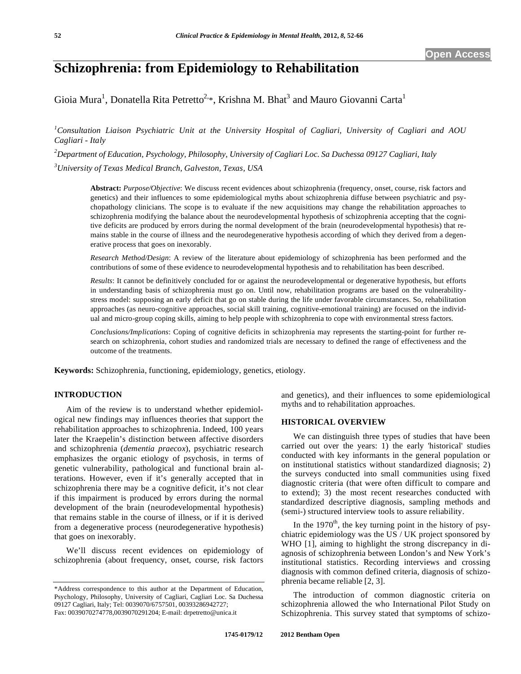# **Schizophrenia: from Epidemiology to Rehabilitation**

Gioia Mura<sup>1</sup>, Donatella Rita Petretto<sup>2,\*</sup>, Krishna M. Bhat<sup>3</sup> and Mauro Giovanni Carta<sup>1</sup>

*1 Consultation Liaison Psychiatric Unit at the University Hospital of Cagliari, University of Cagliari and AOU Cagliari - Italy* 

*2 Department of Education, Psychology, Philosophy, University of Cagliari Loc. Sa Duchessa 09127 Cagliari, Italy 3 University of Texas Medical Branch, Galveston, Texas, USA* 

**Abstract:** *Purpose/Objective*: We discuss recent evidences about schizophrenia (frequency, onset, course, risk factors and genetics) and their influences to some epidemiological myths about schizophrenia diffuse between psychiatric and psychopathology clinicians. The scope is to evaluate if the new acquisitions may change the rehabilitation approaches to schizophrenia modifying the balance about the neurodevelopmental hypothesis of schizophrenia accepting that the cognitive deficits are produced by errors during the normal development of the brain (neurodevelopmental hypothesis) that remains stable in the course of illness and the neurodegenerative hypothesis according of which they derived from a degenerative process that goes on inexorably.

*Research Method/Design*: A review of the literature about epidemiology of schizophrenia has been performed and the contributions of some of these evidence to neurodevelopmental hypothesis and to rehabilitation has been described.

*Results*: It cannot be definitively concluded for or against the neurodevelopmental or degenerative hypothesis, but efforts in understanding basis of schizophrenia must go on. Until now, rehabilitation programs are based on the vulnerabilitystress model: supposing an early deficit that go on stable during the life under favorable circumstances. So, rehabilitation approaches (as neuro-cognitive approaches, social skill training, cognitive-emotional training) are focused on the individual and micro-group coping skills, aiming to help people with schizophrenia to cope with environmental stress factors.

*Conclusions/Implications*: Coping of cognitive deficits in schizophrenia may represents the starting-point for further research on schizophrenia, cohort studies and randomized trials are necessary to defined the range of effectiveness and the outcome of the treatments.

**Keywords:** Schizophrenia, functioning, epidemiology, genetics, etiology.

# **INTRODUCTION**

Aim of the review is to understand whether epidemiological new findings may influences theories that support the rehabilitation approaches to schizophrenia. Indeed, 100 years later the Kraepelin's distinction between affective disorders and schizophrenia (*dementia praecox*), psychiatric research emphasizes the organic etiology of psychosis, in terms of genetic vulnerability, pathological and functional brain alterations. However, even if it's generally accepted that in schizophrenia there may be a cognitive deficit, it's not clear if this impairment is produced by errors during the normal development of the brain (neurodevelopmental hypothesis) that remains stable in the course of illness, or if it is derived from a degenerative process (neurodegenerative hypothesis) that goes on inexorably.

We'll discuss recent evidences on epidemiology of schizophrenia (about frequency, onset, course, risk factors and genetics), and their influences to some epidemiological myths and to rehabilitation approaches.

# **HISTORICAL OVERVIEW**

We can distinguish three types of studies that have been carried out over the years: 1) the early 'historical' studies conducted with key informants in the general population or on institutional statistics without standardized diagnosis; 2) the surveys conducted into small communities using fixed diagnostic criteria (that were often difficult to compare and to extend); 3) the most recent researches conducted with standardized descriptive diagnosis, sampling methods and (semi-) structured interview tools to assure reliability.

In the  $1970<sup>th</sup>$ , the key turning point in the history of psychiatric epidemiology was the US / UK project sponsored by WHO [1], aiming to highlight the strong discrepancy in diagnosis of schizophrenia between London's and New York's institutional statistics. Recording interviews and crossing diagnosis with common defined criteria, diagnosis of schizophrenia became reliable [2, 3].

The introduction of common diagnostic criteria on schizophrenia allowed the who International Pilot Study on Schizophrenia. This survey stated that symptoms of schizo-

<sup>\*</sup>Address correspondence to this author at the Department of Education, Psychology, Philosophy, University of Cagliari, Cagliari Loc. Sa Duchessa 09127 Cagliari, Italy; Tel: 0039070/6757501, 00393286942727; Fax: 0039070274778,0039070291204; E-mail: drpetretto@unica.it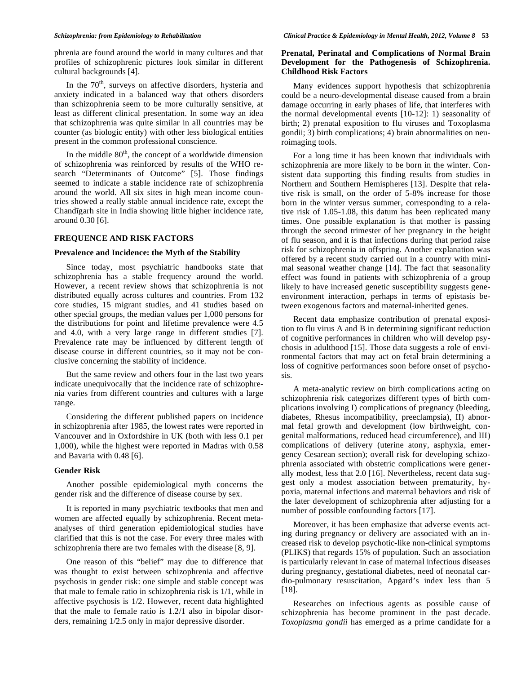phrenia are found around the world in many cultures and that profiles of schizophrenic pictures look similar in different cultural backgrounds [4].

In the  $70<sup>th</sup>$ , surveys on affective disorders, hysteria and anxiety indicated in a balanced way that others disorders than schizophrenia seem to be more culturally sensitive, at least as different clinical presentation. In some way an idea that schizophrenia was quite similar in all countries may be counter (as biologic entity) with other less biological entities present in the common professional conscience.

In the middle  $80<sup>th</sup>$ , the concept of a worldwide dimension of schizophrenia was reinforced by results of the WHO research "Determinants of Outcome" [5]. Those findings seemed to indicate a stable incidence rate of schizophrenia around the world. All six sites in high mean income countries showed a really stable annual incidence rate, except the Chandgarh site in India showing little higher incidence rate, around 0.30 [6].

# **FREQUENCE AND RISK FACTORS**

# **Prevalence and Incidence: the Myth of the Stability**

Since today, most psychiatric handbooks state that schizophrenia has a stable frequency around the world. However, a recent review shows that schizophrenia is not distributed equally across cultures and countries. From 132 core studies, 15 migrant studies, and 41 studies based on other special groups, the median values per 1,000 persons for the distributions for point and lifetime prevalence were 4.5 and 4.0, with a very large range in different studies [7]. Prevalence rate may be influenced by different length of disease course in different countries, so it may not be conclusive concerning the stability of incidence.

But the same review and others four in the last two years indicate unequivocally that the incidence rate of schizophrenia varies from different countries and cultures with a large range.

Considering the different published papers on incidence in schizophrenia after 1985, the lowest rates were reported in Vancouver and in Oxfordshire in UK (both with less 0.1 per 1,000), while the highest were reported in Madras with 0.58 and Bavaria with 0.48 [6].

# **Gender Risk**

Another possible epidemiological myth concerns the gender risk and the difference of disease course by sex.

It is reported in many psychiatric textbooks that men and women are affected equally by schizophrenia. Recent metaanalyses of third generation epidemiological studies have clarified that this is not the case. For every three males with schizophrenia there are two females with the disease [8, 9].

One reason of this "belief" may due to difference that was thought to exist between schizophrenia and affective psychosis in gender risk: one simple and stable concept was that male to female ratio in schizophrenia risk is 1/1, while in affective psychosis is 1/2. However, recent data highlighted that the male to female ratio is 1.2/1 also in bipolar disorders, remaining 1/2.5 only in major depressive disorder.

# **Prenatal, Perinatal and Complications of Normal Brain Development for the Pathogenesis of Schizophrenia. Childhood Risk Factors**

Many evidences support hypothesis that schizophrenia could be a neuro-developmental disease caused from a brain damage occurring in early phases of life, that interferes with the normal developmental events [10-12]: 1) seasonality of birth; 2) prenatal exposition to flu viruses and Toxoplasma gondii; 3) birth complications; 4) brain abnormalities on neuroimaging tools.

For a long time it has been known that individuals with schizophrenia are more likely to be born in the winter. Consistent data supporting this finding results from studies in Northern and Southern Hemispheres [13]. Despite that relative risk is small, on the order of 5-8% increase for those born in the winter versus summer, corresponding to a relative risk of 1.05-1.08, this datum has been replicated many times. One possible explanation is that mother is passing through the second trimester of her pregnancy in the height of flu season, and it is that infections during that period raise risk for schizophrenia in offspring. Another explanation was offered by a recent study carried out in a country with minimal seasonal weather change [14]. The fact that seasonality effect was found in patients with schizophrenia of a group likely to have increased genetic susceptibility suggests geneenvironment interaction, perhaps in terms of epistasis between exogenous factors and maternal-inherited genes.

Recent data emphasize contribution of prenatal exposition to flu virus A and B in determining significant reduction of cognitive performances in children who will develop psychosis in adulthood [15]. Those data suggests a role of environmental factors that may act on fetal brain determining a loss of cognitive performances soon before onset of psychosis.

A meta-analytic review on birth complications acting on schizophrenia risk categorizes different types of birth complications involving I) complications of pregnancy (bleeding, diabetes, Rhesus incompatibility, preeclampsia), II) abnormal fetal growth and development (low birthweight, congenital malformations, reduced head circumference), and III) complications of delivery (uterine atony, asphyxia, emergency Cesarean section); overall risk for developing schizophrenia associated with obstetric complications were generally modest, less that 2.0 [16]. Nevertheless, recent data suggest only a modest association between prematurity, hypoxia, maternal infections and maternal behaviors and risk of the later development of schizophrenia after adjusting for a number of possible confounding factors [17].

Moreover, it has been emphasize that adverse events acting during pregnancy or delivery are associated with an increased risk to develop psychotic-like non-clinical symptoms (PLIKS) that regards 15% of population. Such an association is particularly relevant in case of maternal infectious diseases during pregnancy, gestational diabetes, need of neonatal cardio-pulmonary resuscitation, Apgard's index less than 5 [18].

Researches on infectious agents as possible cause of schizophrenia has become prominent in the past decade. *Toxoplasma gondii* has emerged as a prime candidate for a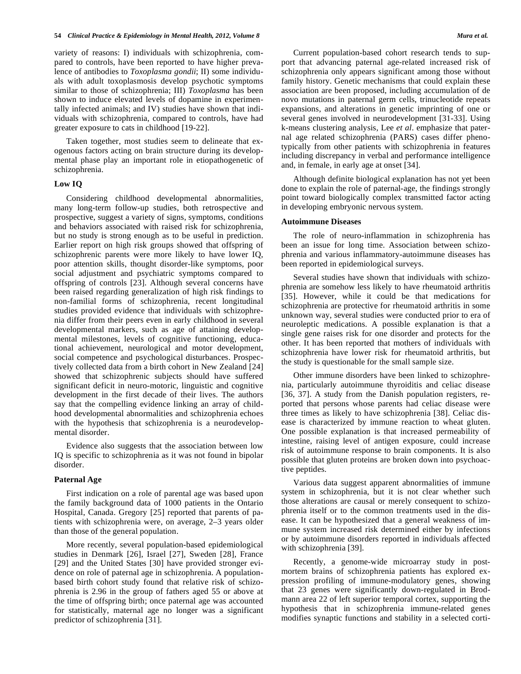variety of reasons: I) individuals with schizophrenia, compared to controls, have been reported to have higher prevalence of antibodies to *Toxoplasma gondii*; II) some individuals with adult toxoplasmosis develop psychotic symptoms similar to those of schizophrenia; III) *Toxoplasma* has been shown to induce elevated levels of dopamine in experimentally infected animals; and IV) studies have shown that individuals with schizophrenia, compared to controls, have had greater exposure to cats in childhood [19-22].

Taken together, most studies seem to delineate that exogenous factors acting on brain structure during its developmental phase play an important role in etiopathogenetic of schizophrenia.

# **Low IQ**

Considering childhood developmental abnormalities, many long-term follow-up studies, both retrospective and prospective, suggest a variety of signs, symptoms, conditions and behaviors associated with raised risk for schizophrenia, but no study is strong enough as to be useful in prediction. Earlier report on high risk groups showed that offspring of schizophrenic parents were more likely to have lower IQ, poor attention skills, thought disorder-like symptoms, poor social adjustment and psychiatric symptoms compared to offspring of controls [23]. Although several concerns have been raised regarding generalization of high risk findings to non-familial forms of schizophrenia, recent longitudinal studies provided evidence that individuals with schizophrenia differ from their peers even in early childhood in several developmental markers, such as age of attaining developmental milestones, levels of cognitive functioning, educational achievement, neurological and motor development, social competence and psychological disturbances. Prospectively collected data from a birth cohort in New Zealand [24] showed that schizophrenic subjects should have suffered significant deficit in neuro-motoric, linguistic and cognitive development in the first decade of their lives. The authors say that the compelling evidence linking an array of childhood developmental abnormalities and schizophrenia echoes with the hypothesis that schizophrenia is a neurodevelopmental disorder.

Evidence also suggests that the association between low IQ is specific to schizophrenia as it was not found in bipolar disorder.

#### **Paternal Age**

First indication on a role of parental age was based upon the family background data of 1000 patients in the Ontario Hospital, Canada. Gregory [25] reported that parents of patients with schizophrenia were, on average, 2–3 years older than those of the general population.

More recently, several population-based epidemiological studies in Denmark [26], Israel [27], Sweden [28], France [29] and the United States [30] have provided stronger evidence on role of paternal age in schizophrenia. A populationbased birth cohort study found that relative risk of schizophrenia is 2.96 in the group of fathers aged 55 or above at the time of offspring birth; once paternal age was accounted for statistically, maternal age no longer was a significant predictor of schizophrenia [31].

Current population-based cohort research tends to support that advancing paternal age-related increased risk of schizophrenia only appears significant among those without family history. Genetic mechanisms that could explain these association are been proposed, including accumulation of de novo mutations in paternal germ cells, trinucleotide repeats expansions, and alterations in genetic imprinting of one or several genes involved in neurodevelopment [31-33]. Using k-means clustering analysis, Lee *et al*. emphasize that paternal age related schizophrenia (PARS) cases differ phenotypically from other patients with schizophrenia in features including discrepancy in verbal and performance intelligence and, in female, in early age at onset [34].

Although definite biological explanation has not yet been done to explain the role of paternal-age, the findings strongly point toward biologically complex transmitted factor acting in developing embryonic nervous system.

#### **Autoimmune Diseases**

The role of neuro-inflammation in schizophrenia has been an issue for long time. Association between schizophrenia and various inflammatory-autoimmune diseases has been reported in epidemiological surveys.

Several studies have shown that individuals with schizophrenia are somehow less likely to have rheumatoid arthritis [35]. However, while it could be that medications for schizophrenia are protective for rheumatoid arthritis in some unknown way, several studies were conducted prior to era of neuroleptic medications. A possible explanation is that a single gene raises risk for one disorder and protects for the other. It has been reported that mothers of individuals with schizophrenia have lower risk for rheumatoid arthritis, but the study is questionable for the small sample size.

Other immune disorders have been linked to schizophrenia, particularly autoimmune thyroiditis and celiac disease [36, 37]. A study from the Danish population registers, reported that persons whose parents had celiac disease were three times as likely to have schizophrenia [38]. Celiac disease is characterized by immune reaction to wheat gluten. One possible explanation is that increased permeability of intestine, raising level of antigen exposure, could increase risk of autoimmune response to brain components. It is also possible that gluten proteins are broken down into psychoactive peptides.

Various data suggest apparent abnormalities of immune system in schizophrenia, but it is not clear whether such those alterations are causal or merely consequent to schizophrenia itself or to the common treatments used in the disease. It can be hypothesized that a general weakness of immune system increased risk determined either by infections or by autoimmune disorders reported in individuals affected with schizophrenia [39].

Recently, a genome-wide microarray study in postmortem brains of schizophrenia patients has explored expression profiling of immune-modulatory genes, showing that 23 genes were significantly down-regulated in Brodmann area 22 of left superior temporal cortex, supporting the hypothesis that in schizophrenia immune-related genes modifies synaptic functions and stability in a selected corti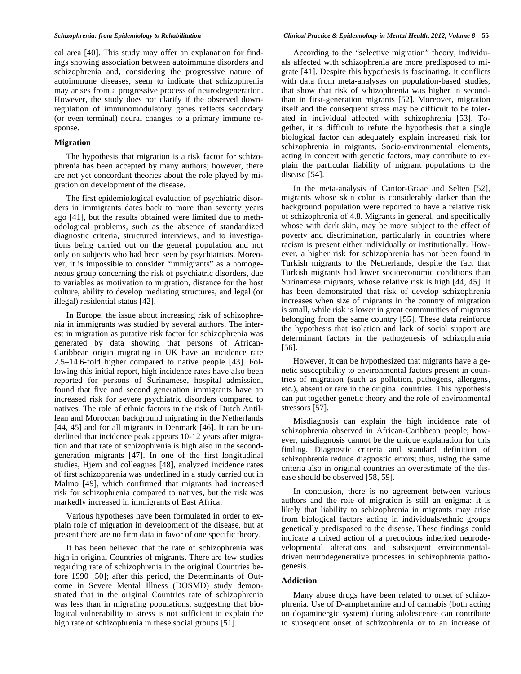cal area [40]. This study may offer an explanation for findings showing association between autoimmune disorders and schizophrenia and, considering the progressive nature of autoimmune diseases, seem to indicate that schizophrenia may arises from a progressive process of neurodegeneration. However, the study does not clarify if the observed downregulation of immunomodulatory genes reflects secondary (or even terminal) neural changes to a primary immune response.

### **Migration**

The hypothesis that migration is a risk factor for schizophrenia has been accepted by many authors; however, there are not yet concordant theories about the role played by migration on development of the disease.

The first epidemiological evaluation of psychiatric disorders in immigrants dates back to more than seventy years ago [41], but the results obtained were limited due to methodological problems, such as the absence of standardized diagnostic criteria, structured interviews, and to investigations being carried out on the general population and not only on subjects who had been seen by psychiatrists. Moreover, it is impossible to consider "immigrants" as a homogeneous group concerning the risk of psychiatric disorders, due to variables as motivation to migration, distance for the host culture, ability to develop mediating structures, and legal (or illegal) residential status [42].

In Europe, the issue about increasing risk of schizophrenia in immigrants was studied by several authors. The interest in migration as putative risk factor for schizophrenia was generated by data showing that persons of African-Caribbean origin migrating in UK have an incidence rate 2.5–14.6-fold higher compared to native people [43]. Following this initial report, high incidence rates have also been reported for persons of Surinamese, hospital admission, found that five and second generation immigrants have an increased risk for severe psychiatric disorders compared to natives. The role of ethnic factors in the risk of Dutch Antillean and Moroccan background migrating in the Netherlands [44, 45] and for all migrants in Denmark [46]. It can be underlined that incidence peak appears 10-12 years after migration and that rate of schizophrenia is high also in the secondgeneration migrants [47]. In one of the first longitudinal studies, Hjern and colleagues [48], analyzed incidence rates of first schizophrenia was underlined in a study carried out in Malmo [49], which confirmed that migrants had increased risk for schizophrenia compared to natives, but the risk was markedly increased in immigrants of East Africa.

Various hypotheses have been formulated in order to explain role of migration in development of the disease, but at present there are no firm data in favor of one specific theory.

It has been believed that the rate of schizophrenia was high in original Countries of migrants. There are few studies regarding rate of schizophrenia in the original Countries before 1990 [50]; after this period, the Determinants of Outcome in Severe Mental Illness (DOSMD) study demonstrated that in the original Countries rate of schizophrenia was less than in migrating populations, suggesting that biological vulnerability to stress is not sufficient to explain the high rate of schizophrenia in these social groups [51].

According to the "selective migration" theory, individuals affected with schizophrenia are more predisposed to migrate [41]. Despite this hypothesis is fascinating, it conflicts with data from meta-analyses on population-based studies, that show that risk of schizophrenia was higher in secondthan in first-generation migrants [52]. Moreover, migration itself and the consequent stress may be difficult to be tolerated in individual affected with schizophrenia [53]. Together, it is difficult to refute the hypothesis that a single biological factor can adequately explain increased risk for schizophrenia in migrants. Socio-environmental elements, acting in concert with genetic factors, may contribute to explain the particular liability of migrant populations to the disease [54].

In the meta-analysis of Cantor-Graae and Selten [52], migrants whose skin color is considerably darker than the background population were reported to have a relative risk of schizophrenia of 4.8. Migrants in general, and specifically whose with dark skin, may be more subject to the effect of poverty and discrimination, particularly in countries where racism is present either individually or institutionally. However, a higher risk for schizophrenia has not been found in Turkish migrants to the Netherlands, despite the fact that Turkish migrants had lower socioeconomic conditions than Surinamese migrants, whose relative risk is high [44, 45]. It has been demonstrated that risk of develop schizophrenia increases when size of migrants in the country of migration is small, while risk is lower in great communities of migrants belonging from the same country [55]. These data reinforce the hypothesis that isolation and lack of social support are determinant factors in the pathogenesis of schizophrenia [56].

However, it can be hypothesized that migrants have a genetic susceptibility to environmental factors present in countries of migration (such as pollution, pathogens, allergens, etc.), absent or rare in the original countries. This hypothesis can put together genetic theory and the role of environmental stressors [57].

Misdiagnosis can explain the high incidence rate of schizophrenia observed in African-Caribbean people; however, misdiagnosis cannot be the unique explanation for this finding. Diagnostic criteria and standard definition of schizophrenia reduce diagnostic errors; thus, using the same criteria also in original countries an overestimate of the disease should be observed [58, 59].

In conclusion, there is no agreement between various authors and the role of migration is still an enigma: it is likely that liability to schizophrenia in migrants may arise from biological factors acting in individuals/ethnic groups genetically predisposed to the disease. These findings could indicate a mixed action of a precocious inherited neurodevelopmental alterations and subsequent environmentaldriven neurodegenerative processes in schizophrenia pathogenesis.

# **Addiction**

Many abuse drugs have been related to onset of schizophrenia. Use of D-amphetamine and of cannabis (both acting on dopaminergic system) during adolescence can contribute to subsequent onset of schizophrenia or to an increase of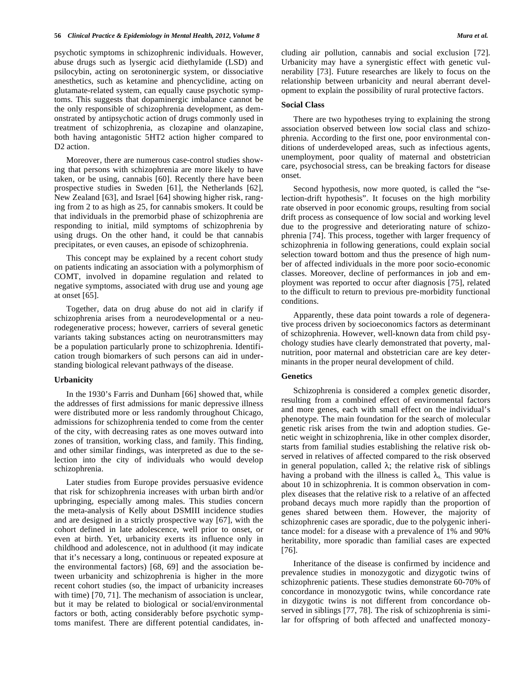psychotic symptoms in schizophrenic individuals. However, abuse drugs such as lysergic acid diethylamide (LSD) and psilocybin, acting on serotoninergic system, or dissociative anesthetics, such as ketamine and phencyclidine, acting on glutamate-related system, can equally cause psychotic symptoms. This suggests that dopaminergic imbalance cannot be the only responsible of schizophrenia development, as demonstrated by antipsychotic action of drugs commonly used in treatment of schizophrenia, as clozapine and olanzapine, both having antagonistic 5HT2 action higher compared to D<sub>2</sub> action.

Moreover, there are numerous case-control studies showing that persons with schizophrenia are more likely to have taken, or be using, cannabis [60]. Recently there have been prospective studies in Sweden [61], the Netherlands [62], New Zealand [63], and Israel [64] showing higher risk, ranging from 2 to as high as 25, for cannabis smokers. It could be that individuals in the premorbid phase of schizophrenia are responding to initial, mild symptoms of schizophrenia by using drugs. On the other hand, it could be that cannabis precipitates, or even causes, an episode of schizophrenia.

This concept may be explained by a recent cohort study on patients indicating an association with a polymorphism of COMT, involved in dopamine regulation and related to negative symptoms, associated with drug use and young age at onset [65].

Together, data on drug abuse do not aid in clarify if schizophrenia arises from a neurodevelopmental or a neurodegenerative process; however, carriers of several genetic variants taking substances acting on neurotransmitters may be a population particularly prone to schizophrenia. Identification trough biomarkers of such persons can aid in understanding biological relevant pathways of the disease.

# **Urbanicity**

In the 1930's Farris and Dunham [66] showed that, while the addresses of first admissions for manic depressive illness were distributed more or less randomly throughout Chicago, admissions for schizophrenia tended to come from the center of the city, with decreasing rates as one moves outward into zones of transition, working class, and family. This finding, and other similar findings, was interpreted as due to the selection into the city of individuals who would develop schizophrenia.

Later studies from Europe provides persuasive evidence that risk for schizophrenia increases with urban birth and/or upbringing, especially among males. This studies concern the meta-analysis of Kelly about DSMIII incidence studies and are designed in a strictly prospective way [67], with the cohort defined in late adolescence, well prior to onset, or even at birth. Yet, urbanicity exerts its influence only in childhood and adolescence, not in adulthood (it may indicate that it's necessary a long, continuous or repeated exposure at the environmental factors) [68, 69] and the association between urbanicity and schizophrenia is higher in the more recent cohort studies (so, the impact of urbanicity increases with time) [70, 71]. The mechanism of association is unclear, but it may be related to biological or social/environmental factors or both, acting considerably before psychotic symptoms manifest. There are different potential candidates, including air pollution, cannabis and social exclusion [72]. Urbanicity may have a synergistic effect with genetic vulnerability [73]. Future researches are likely to focus on the relationship between urbanicity and neural aberrant development to explain the possibility of rural protective factors.

#### **Social Class**

There are two hypotheses trying to explaining the strong association observed between low social class and schizophrenia. According to the first one, poor environmental conditions of underdeveloped areas, such as infectious agents, unemployment, poor quality of maternal and obstetrician care, psychosocial stress, can be breaking factors for disease onset.

Second hypothesis, now more quoted, is called the "selection-drift hypothesis". It focuses on the high morbility rate observed in poor economic groups, resulting from social drift process as consequence of low social and working level due to the progressive and deteriorating nature of schizophrenia [74]. This process, together with larger frequency of schizophrenia in following generations, could explain social selection toward bottom and thus the presence of high number of affected individuals in the more poor socio-economic classes. Moreover, decline of performances in job and employment was reported to occur after diagnosis [75], related to the difficult to return to previous pre-morbidity functional conditions.

Apparently, these data point towards a role of degenerative process driven by socioeconomics factors as determinant of schizophrenia. However, well-known data from child psychology studies have clearly demonstrated that poverty, malnutrition, poor maternal and obstetrician care are key determinants in the proper neural development of child.

#### **Genetics**

Schizophrenia is considered a complex genetic disorder, resulting from a combined effect of environmental factors and more genes, each with small effect on the individual's phenotype. The main foundation for the search of molecular genetic risk arises from the twin and adoption studies. Genetic weight in schizophrenia, like in other complex disorder, starts from familial studies establishing the relative risk observed in relatives of affected compared to the risk observed in general population, called  $\lambda$ ; the relative risk of siblings having a proband with the illness is called  $\lambda_s$ . This value is about 10 in schizophrenia. It is common observation in complex diseases that the relative risk to a relative of an affected proband decays much more rapidly than the proportion of genes shared between them. However, the majority of schizophrenic cases are sporadic, due to the polygenic inheritance model: for a disease with a prevalence of 1% and 90% heritability, more sporadic than familial cases are expected [76].

Inheritance of the disease is confirmed by incidence and prevalence studies in monozygotic and dizygotic twins of schizophrenic patients. These studies demonstrate 60-70% of concordance in monozygotic twins, while concordance rate in dizygotic twins is not different from concordance observed in siblings [77, 78]. The risk of schizophrenia is similar for offspring of both affected and unaffected monozy-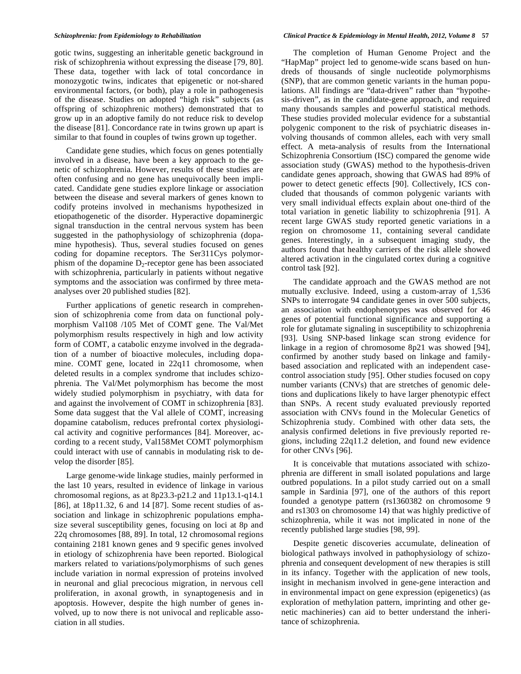gotic twins, suggesting an inheritable genetic background in risk of schizophrenia without expressing the disease [79, 80]. These data, together with lack of total concordance in monozygotic twins, indicates that epigenetic or not-shared environmental factors, (or both), play a role in pathogenesis of the disease. Studies on adopted "high risk" subjects (as offspring of schizophrenic mothers) demonstrated that to grow up in an adoptive family do not reduce risk to develop the disease [81]. Concordance rate in twins grown up apart is similar to that found in couples of twins grown up together.

Candidate gene studies, which focus on genes potentially involved in a disease, have been a key approach to the genetic of schizophrenia. However, results of these studies are often confusing and no gene has unequivocally been implicated. Candidate gene studies explore linkage or association between the disease and several markers of genes known to codify proteins involved in mechanisms hypothesized in etiopathogenetic of the disorder. Hyperactive dopaminergic signal transduction in the central nervous system has been suggested in the pathophysiology of schizophrenia (dopamine hypothesis). Thus, several studies focused on genes coding for dopamine receptors. The Ser311Cys polymorphism of the dopamine  $D_2$ -receptor gene has been associated with schizophrenia, particularly in patients without negative symptoms and the association was confirmed by three metaanalyses over 20 published studies [82].

Further applications of genetic research in comprehension of schizophrenia come from data on functional polymorphism Val108 /105 Met of COMT gene. The Val/Met polymorphism results respectively in high and low activity form of COMT, a catabolic enzyme involved in the degradation of a number of bioactive molecules, including dopamine. COMT gene, located in 22q11 chromosome, when deleted results in a complex syndrome that includes schizophrenia. The Val/Met polymorphism has become the most widely studied polymorphism in psychiatry, with data for and against the involvement of COMT in schizophrenia [83]. Some data suggest that the Val allele of COMT, increasing dopamine catabolism, reduces prefrontal cortex physiological activity and cognitive performances [84]. Moreover, according to a recent study, Val158Met COMT polymorphism could interact with use of cannabis in modulating risk to develop the disorder [85].

Large genome-wide linkage studies, mainly performed in the last 10 years, resulted in evidence of linkage in various chromosomal regions, as at 8p23.3-p21.2 and 11p13.1-q14.1 [86], at 18p11.32, 6 and 14 [87]. Some recent studies of association and linkage in schizophrenic populations emphasize several susceptibility genes, focusing on loci at 8p and 22q chromosomes [88, 89]. In total, 12 chromosomal regions containing 2181 known genes and 9 specific genes involved in etiology of schizophrenia have been reported. Biological markers related to variations/polymorphisms of such genes include variation in normal expression of proteins involved in neuronal and glial precocious migration, in nervous cell proliferation, in axonal growth, in synaptogenesis and in apoptosis. However, despite the high number of genes involved, up to now there is not univocal and replicable association in all studies.

The completion of Human Genome Project and the "HapMap" project led to genome-wide scans based on hundreds of thousands of single nucleotide polymorphisms (SNP), that are common genetic variants in the human populations. All findings are "data-driven" rather than "hypothesis-driven", as in the candidate-gene approach, and required many thousands samples and powerful statistical methods. These studies provided molecular evidence for a substantial polygenic component to the risk of psychiatric diseases involving thousands of common alleles, each with very small effect. A meta-analysis of results from the International Schizophrenia Consortium (ISC) compared the genome wide association study (GWAS) method to the hypothesis-driven candidate genes approach, showing that GWAS had 89% of power to detect genetic effects [90]. Collectively, ICS concluded that thousands of common polygenic variants with very small individual effects explain about one-third of the total variation in genetic liability to schizophrenia [91]. A recent large GWAS study reported genetic variations in a region on chromosome 11, containing several candidate genes. Interestingly, in a subsequent imaging study, the authors found that healthy carriers of the risk allele showed altered activation in the cingulated cortex during a cognitive control task [92].

The candidate approach and the GWAS method are not mutually exclusive. Indeed, using a custom-array of 1,536 SNPs to interrogate 94 candidate genes in over 500 subjects, an association with endophenotypes was observed for 46 genes of potential functional significance and supporting a role for glutamate signaling in susceptibility to schizophrenia [93]. Using SNP-based linkage scan strong evidence for linkage in a region of chromosome 8p21 was showed [94], confirmed by another study based on linkage and familybased association and replicated with an independent casecontrol association study [95]. Other studies focused on copy number variants (CNVs) that are stretches of genomic deletions and duplications likely to have larger phenotypic effect than SNPs. A recent study evaluated previously reported association with CNVs found in the Molecular Genetics of Schizophrenia study. Combined with other data sets, the analysis confirmed deletions in five previously reported regions, including 22q11.2 deletion, and found new evidence for other CNVs [96].

It is conceivable that mutations associated with schizophrenia are different in small isolated populations and large outbred populations. In a pilot study carried out on a small sample in Sardinia [97], one of the authors of this report founded a genotype pattern (rs1360382 on chromosome 9 and rs1303 on chromosome 14) that was highly predictive of schizophrenia, while it was not implicated in none of the recently published large studies [98, 99].

Despite genetic discoveries accumulate, delineation of biological pathways involved in pathophysiology of schizophrenia and consequent development of new therapies is still in its infancy. Together with the application of new tools, insight in mechanism involved in gene-gene interaction and in environmental impact on gene expression (epigenetics) (as exploration of methylation pattern, imprinting and other genetic machineries) can aid to better understand the inheritance of schizophrenia.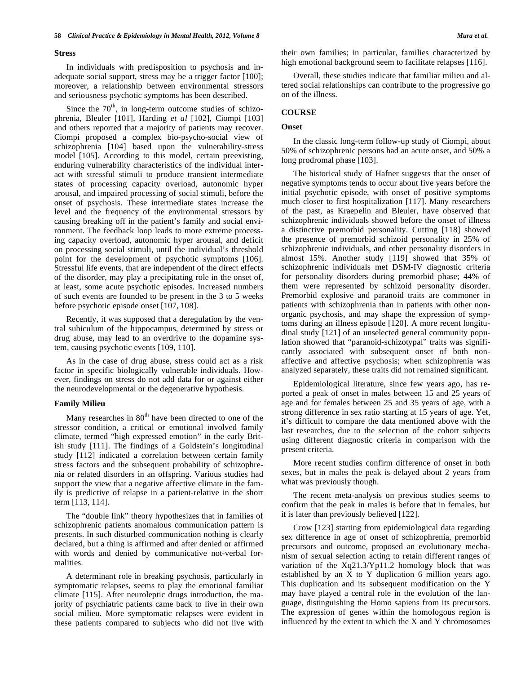### **Stress**

In individuals with predisposition to psychosis and inadequate social support, stress may be a trigger factor [100]; moreover, a relationship between environmental stressors and seriousness psychotic symptoms has been described.

Since the  $70<sup>th</sup>$ , in long-term outcome studies of schizophrenia, Bleuler [101], Harding *et al* [102], Ciompi [103] and others reported that a majority of patients may recover. Ciompi proposed a complex bio-psycho-social view of schizophrenia [104] based upon the vulnerability-stress model [105]. According to this model, certain preexisting, enduring vulnerability characteristics of the individual interact with stressful stimuli to produce transient intermediate states of processing capacity overload, autonomic hyper arousal, and impaired processing of social stimuli, before the onset of psychosis. These intermediate states increase the level and the frequency of the environmental stressors by causing breaking off in the patient's family and social environment. The feedback loop leads to more extreme processing capacity overload, autonomic hyper arousal, and deficit on processing social stimuli, until the individual's threshold point for the development of psychotic symptoms [106]. Stressful life events, that are independent of the direct effects of the disorder, may play a precipitating role in the onset of, at least, some acute psychotic episodes. Increased numbers of such events are founded to be present in the 3 to 5 weeks before psychotic episode onset [107, 108].

Recently, it was supposed that a deregulation by the ventral subiculum of the hippocampus, determined by stress or drug abuse, may lead to an overdrive to the dopamine system, causing psychotic events [109, 110].

As in the case of drug abuse, stress could act as a risk factor in specific biologically vulnerable individuals. However, findings on stress do not add data for or against either the neurodevelopmental or the degenerative hypothesis.

#### **Family Milieu**

Many researches in  $80<sup>th</sup>$  have been directed to one of the stressor condition, a critical or emotional involved family climate, termed "high expressed emotion" in the early British study [111]. The findings of a Goldstein's longitudinal study [112] indicated a correlation between certain family stress factors and the subsequent probability of schizophrenia or related disorders in an offspring. Various studies had support the view that a negative affective climate in the family is predictive of relapse in a patient-relative in the short term [113, 114].

The "double link" theory hypothesizes that in families of schizophrenic patients anomalous communication pattern is presents. In such disturbed communication nothing is clearly declared, but a thing is affirmed and after denied or affirmed with words and denied by communicative not-verbal formalities.

A determinant role in breaking psychosis, particularly in symptomatic relapses, seems to play the emotional familiar climate [115]. After neuroleptic drugs introduction, the majority of psychiatric patients came back to live in their own social milieu. More symptomatic relapses were evident in these patients compared to subjects who did not live with their own families; in particular, families characterized by high emotional background seem to facilitate relapses [116].

Overall, these studies indicate that familiar milieu and altered social relationships can contribute to the progressive go on of the illness.

### **COURSE**

# **Onset**

In the classic long-term follow-up study of Ciompi, about 50% of schizophrenic persons had an acute onset, and 50% a long prodromal phase [103].

The historical study of Hafner suggests that the onset of negative symptoms tends to occur about five years before the initial psychotic episode, with onset of positive symptoms much closer to first hospitalization [117]. Many researchers of the past, as Kraepelin and Bleuler, have observed that schizophrenic individuals showed before the onset of illness a distinctive premorbid personality. Cutting [118] showed the presence of premorbid schizoid personality in 25% of schizophrenic individuals, and other personality disorders in almost 15%. Another study [119] showed that 35% of schizophrenic individuals met DSM-IV diagnostic criteria for personality disorders during premorbid phase; 44% of them were represented by schizoid personality disorder. Premorbid explosive and paranoid traits are commoner in patients with schizophrenia than in patients with other nonorganic psychosis, and may shape the expression of symptoms during an illness episode [120]. A more recent longitudinal study [121] of an unselected general community population showed that "paranoid-schizotypal" traits was significantly associated with subsequent onset of both nonaffective and affective psychosis; when schizophrenia was analyzed separately, these traits did not remained significant.

Epidemiological literature, since few years ago, has reported a peak of onset in males between 15 and 25 years of age and for females between 25 and 35 years of age, with a strong difference in sex ratio starting at 15 years of age. Yet, it's difficult to compare the data mentioned above with the last researches, due to the selection of the cohort subjects using different diagnostic criteria in comparison with the present criteria.

More recent studies confirm difference of onset in both sexes, but in males the peak is delayed about 2 years from what was previously though.

The recent meta-analysis on previous studies seems to confirm that the peak in males is before that in females, but it is later than previously believed [122].

Crow [123] starting from epidemiological data regarding sex difference in age of onset of schizophrenia, premorbid precursors and outcome, proposed an evolutionary mechanism of sexual selection acting to retain different ranges of variation of the Xq21.3/Yp11.2 homology block that was established by an X to Y duplication 6 million years ago. This duplication and its subsequent modification on the Y may have played a central role in the evolution of the language, distinguishing the Homo sapiens from its precursors. The expression of genes within the homologous region is influenced by the extent to which the X and Y chromosomes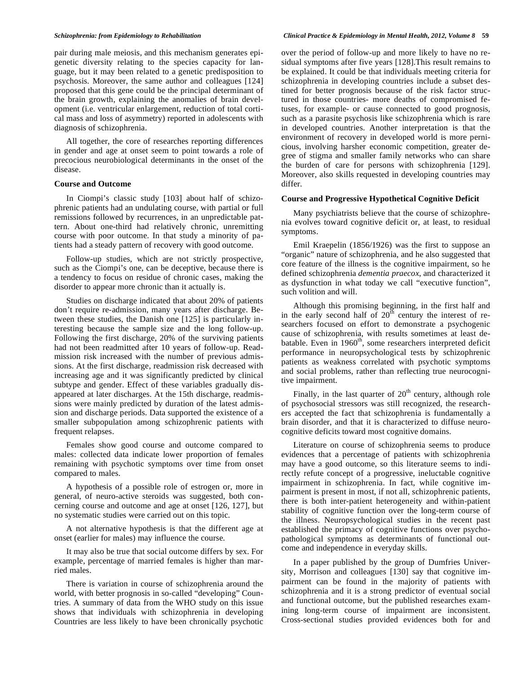pair during male meiosis, and this mechanism generates epigenetic diversity relating to the species capacity for language, but it may been related to a genetic predisposition to psychosis. Moreover, the same author and colleagues [124] proposed that this gene could be the principal determinant of the brain growth, explaining the anomalies of brain development (i.e. ventricular enlargement, reduction of total cortical mass and loss of asymmetry) reported in adolescents with diagnosis of schizophrenia.

All together, the core of researches reporting differences in gender and age at onset seem to point towards a role of precocious neurobiological determinants in the onset of the disease.

# **Course and Outcome**

In Ciompi's classic study [103] about half of schizophrenic patients had an undulating course, with partial or full remissions followed by recurrences, in an unpredictable pattern. About one-third had relatively chronic, unremitting course with poor outcome. In that study a minority of patients had a steady pattern of recovery with good outcome.

Follow-up studies, which are not strictly prospective, such as the Ciompi's one, can be deceptive, because there is a tendency to focus on residue of chronic cases, making the disorder to appear more chronic than it actually is.

Studies on discharge indicated that about 20% of patients don't require re-admission, many years after discharge. Between these studies, the Danish one [125] is particularly interesting because the sample size and the long follow-up. Following the first discharge, 20% of the surviving patients had not been readmitted after 10 years of follow-up. Readmission risk increased with the number of previous admissions. At the first discharge, readmission risk decreased with increasing age and it was significantly predicted by clinical subtype and gender. Effect of these variables gradually disappeared at later discharges. At the 15th discharge, readmissions were mainly predicted by duration of the latest admission and discharge periods. Data supported the existence of a smaller subpopulation among schizophrenic patients with frequent relapses.

Females show good course and outcome compared to males: collected data indicate lower proportion of females remaining with psychotic symptoms over time from onset compared to males.

A hypothesis of a possible role of estrogen or, more in general, of neuro-active steroids was suggested, both concerning course and outcome and age at onset [126, 127], but no systematic studies were carried out on this topic.

A not alternative hypothesis is that the different age at onset (earlier for males) may influence the course.

It may also be true that social outcome differs by sex. For example, percentage of married females is higher than married males.

There is variation in course of schizophrenia around the world, with better prognosis in so-called "developing" Countries. A summary of data from the WHO study on this issue shows that individuals with schizophrenia in developing Countries are less likely to have been chronically psychotic

over the period of follow-up and more likely to have no residual symptoms after five years [128].This result remains to be explained. It could be that individuals meeting criteria for schizophrenia in developing countries include a subset destined for better prognosis because of the risk factor structured in those countries- more deaths of compromised fetuses, for example- or cause connected to good prognosis, such as a parasite psychosis like schizophrenia which is rare in developed countries. Another interpretation is that the environment of recovery in developed world is more pernicious, involving harsher economic competition, greater degree of stigma and smaller family networks who can share the burden of care for persons with schizophrenia [129]. Moreover, also skills requested in developing countries may differ.

### **Course and Progressive Hypothetical Cognitive Deficit**

Many psychiatrists believe that the course of schizophrenia evolves toward cognitive deficit or, at least, to residual symptoms.

Emil Kraepelin (1856/1926) was the first to suppose an "organic" nature of schizophrenia, and he also suggested that core feature of the illness is the cognitive impairment, so he defined schizophrenia *dementia praecox*, and characterized it as dysfunction in what today we call "executive function", such volition and will.

Although this promising beginning, in the first half and in the early second half of  $20<sup>th</sup>$  century the interest of researchers focused on effort to demonstrate a psychogenic cause of schizophrenia, with results sometimes at least debatable. Even in  $1960<sup>th</sup>$ , some researchers interpreted deficit performance in neuropsychological tests by schizophrenic patients as weakness correlated with psychotic symptoms and social problems, rather than reflecting true neurocognitive impairment.

Finally, in the last quarter of  $20<sup>th</sup>$  century, although role of psychosocial stressors was still recognized, the researchers accepted the fact that schizophrenia is fundamentally a brain disorder, and that it is characterized to diffuse neurocognitive deficits toward most cognitive domains.

Literature on course of schizophrenia seems to produce evidences that a percentage of patients with schizophrenia may have a good outcome, so this literature seems to indirectly refute concept of a progressive, ineluctable cognitive impairment in schizophrenia. In fact, while cognitive impairment is present in most, if not all, schizophrenic patients, there is both inter-patient heterogeneity and within-patient stability of cognitive function over the long-term course of the illness. Neuropsychological studies in the recent past established the primacy of cognitive functions over psychopathological symptoms as determinants of functional outcome and independence in everyday skills.

In a paper published by the group of Dumfries University, Morrison and colleagues [130] say that cognitive impairment can be found in the majority of patients with schizophrenia and it is a strong predictor of eventual social and functional outcome, but the published researches examining long-term course of impairment are inconsistent. Cross-sectional studies provided evidences both for and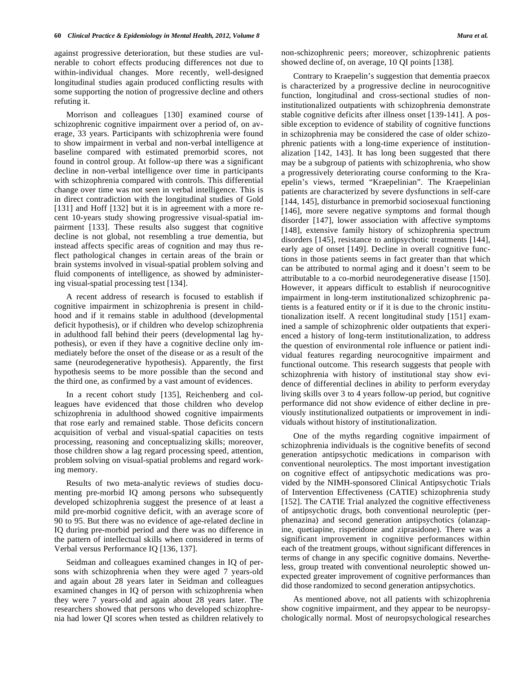against progressive deterioration, but these studies are vulnerable to cohort effects producing differences not due to within-individual changes. More recently, well-designed longitudinal studies again produced conflicting results with some supporting the notion of progressive decline and others refuting it.

Morrison and colleagues [130] examined course of schizophrenic cognitive impairment over a period of, on average, 33 years. Participants with schizophrenia were found to show impairment in verbal and non-verbal intelligence at baseline compared with estimated premorbid scores, not found in control group. At follow-up there was a significant decline in non-verbal intelligence over time in participants with schizophrenia compared with controls. This differential change over time was not seen in verbal intelligence. This is in direct contradiction with the longitudinal studies of Gold [131] and Hoff [132] but it is in agreement with a more recent 10-years study showing progressive visual-spatial impairment [133]. These results also suggest that cognitive decline is not global, not resembling a true dementia, but instead affects specific areas of cognition and may thus reflect pathological changes in certain areas of the brain or brain systems involved in visual-spatial problem solving and fluid components of intelligence, as showed by administering visual-spatial processing test [134].

A recent address of research is focused to establish if cognitive impairment in schizophrenia is present in childhood and if it remains stable in adulthood (developmental deficit hypothesis), or if children who develop schizophrenia in adulthood fall behind their peers (developmental lag hypothesis), or even if they have a cognitive decline only immediately before the onset of the disease or as a result of the same (neurodegenerative hypothesis). Apparently, the first hypothesis seems to be more possible than the second and the third one, as confirmed by a vast amount of evidences.

In a recent cohort study [135], Reichenberg and colleagues have evidenced that those children who develop schizophrenia in adulthood showed cognitive impairments that rose early and remained stable. Those deficits concern acquisition of verbal and visual-spatial capacities on tests processing, reasoning and conceptualizing skills; moreover, those children show a lag regard processing speed, attention, problem solving on visual-spatial problems and regard working memory.

Results of two meta-analytic reviews of studies documenting pre-morbid IQ among persons who subsequently developed schizophrenia suggest the presence of at least a mild pre-morbid cognitive deficit, with an average score of 90 to 95. But there was no evidence of age-related decline in IQ during pre-morbid period and there was no difference in the pattern of intellectual skills when considered in terms of Verbal versus Performance IQ [136, 137].

Seidman and colleagues examined changes in IQ of persons with schizophrenia when they were aged 7 years-old and again about 28 years later in Seidman and colleagues examined changes in IQ of person with schizophrenia when they were 7 years-old and again about 28 years later. The researchers showed that persons who developed schizophrenia had lower QI scores when tested as children relatively to non-schizophrenic peers; moreover, schizophrenic patients showed decline of, on average, 10 QI points [138].

Contrary to Kraepelin's suggestion that dementia praecox is characterized by a progressive decline in neurocognitive function, longitudinal and cross-sectional studies of noninstitutionalized outpatients with schizophrenia demonstrate stable cognitive deficits after illness onset [139-141]. A possible exception to evidence of stability of cognitive functions in schizophrenia may be considered the case of older schizophrenic patients with a long-time experience of institutionalization [142, 143]. It has long been suggested that there may be a subgroup of patients with schizophrenia, who show a progressively deteriorating course conforming to the Kraepelin's views, termed "Kraepelinian". The Kraepelinian patients are characterized by severe dysfunctions in self-care [144, 145], disturbance in premorbid sociosexual functioning [146], more severe negative symptoms and formal though disorder [147], lower association with affective symptoms [148], extensive family history of schizophrenia spectrum disorders [145], resistance to antipsychotic treatments [144], early age of onset [149]. Decline in overall cognitive functions in those patients seems in fact greater than that which can be attributed to normal aging and it doesn't seem to be attributable to a co-morbid neurodegenerative disease [150]. However, it appears difficult to establish if neurocognitive impairment in long-term institutionalized schizophrenic patients is a featured entity or if it is due to the chronic institutionalization itself. A recent longitudinal study [151] examined a sample of schizophrenic older outpatients that experienced a history of long-term institutionalization, to address the question of environmental role influence or patient individual features regarding neurocognitive impairment and functional outcome. This research suggests that people with schizophrenia with history of institutional stay show evidence of differential declines in ability to perform everyday living skills over 3 to 4 years follow-up period, but cognitive performance did not show evidence of either decline in previously institutionalized outpatients or improvement in individuals without history of institutionalization.

One of the myths regarding cognitive impairment of schizophrenia individuals is the cognitive benefits of second generation antipsychotic medications in comparison with conventional neuroleptics. The most important investigation on cognitive effect of antipsychotic medications was provided by the NIMH-sponsored Clinical Antipsychotic Trials of Intervention Effectiveness (CATIE) schizophrenia study [152]. The CATIE Trial analyzed the cognitive effectiveness of antipsychotic drugs, both conventional neuroleptic (perphenazina) and second generation antipsychotics (olanzapine, quetiapine, risperidone and ziprasidone). There was a significant improvement in cognitive performances within each of the treatment groups, without significant differences in terms of change in any specific cognitive domains. Nevertheless, group treated with conventional neuroleptic showed unexpected greater improvement of cognitive performances than did those randomized to second generation antipsychotics.

As mentioned above, not all patients with schizophrenia show cognitive impairment, and they appear to be neuropsychologically normal. Most of neuropsychological researches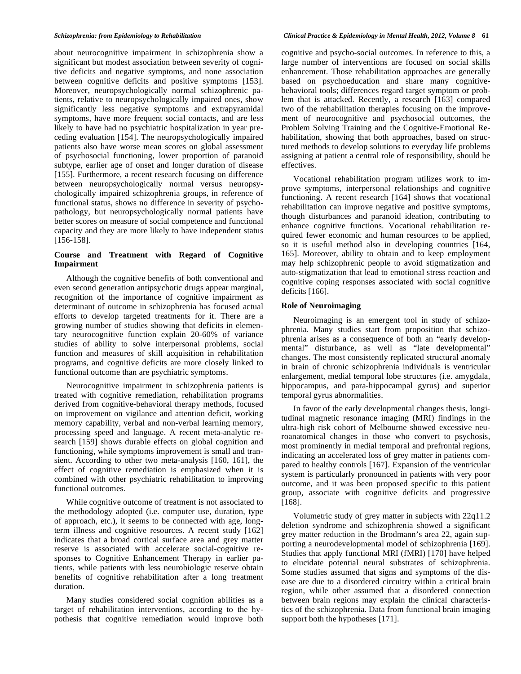about neurocognitive impairment in schizophrenia show a significant but modest association between severity of cognitive deficits and negative symptoms, and none association between cognitive deficits and positive symptoms [153]. Moreover, neuropsychologically normal schizophrenic patients, relative to neuropsychologically impaired ones, show significantly less negative symptoms and extrapyramidal symptoms, have more frequent social contacts, and are less likely to have had no psychiatric hospitalization in year preceding evaluation [154]. The neuropsychologically impaired patients also have worse mean scores on global assessment of psychosocial functioning, lower proportion of paranoid subtype, earlier age of onset and longer duration of disease [155]. Furthermore, a recent research focusing on difference between neuropsychologically normal versus neuropsychologically impaired schizophrenia groups, in reference of functional status, shows no difference in severity of psychopathology, but neuropsychologically normal patients have better scores on measure of social competence and functional capacity and they are more likely to have independent status [156-158].

# **Course and Treatment with Regard of Cognitive Impairment**

Although the cognitive benefits of both conventional and even second generation antipsychotic drugs appear marginal, recognition of the importance of cognitive impairment as determinant of outcome in schizophrenia has focused actual efforts to develop targeted treatments for it. There are a growing number of studies showing that deficits in elementary neurocognitive function explain 20-60% of variance studies of ability to solve interpersonal problems, social function and measures of skill acquisition in rehabilitation programs, and cognitive deficits are more closely linked to functional outcome than are psychiatric symptoms.

Neurocognitive impairment in schizophrenia patients is treated with cognitive remediation, rehabilitation programs derived from cognitive-behavioral therapy methods, focused on improvement on vigilance and attention deficit, working memory capability, verbal and non-verbal learning memory, processing speed and language. A recent meta-analytic research [159] shows durable effects on global cognition and functioning, while symptoms improvement is small and transient. According to other two meta-analysis [160, 161], the effect of cognitive remediation is emphasized when it is combined with other psychiatric rehabilitation to improving functional outcomes.

While cognitive outcome of treatment is not associated to the methodology adopted (i.e. computer use, duration, type of approach, etc.), it seems to be connected with age, longterm illness and cognitive resources. A recent study [162] indicates that a broad cortical surface area and grey matter reserve is associated with accelerate social-cognitive responses to Cognitive Enhancement Therapy in earlier patients, while patients with less neurobiologic reserve obtain benefits of cognitive rehabilitation after a long treatment duration.

Many studies considered social cognition abilities as a target of rehabilitation interventions, according to the hypothesis that cognitive remediation would improve both

cognitive and psycho-social outcomes. In reference to this, a large number of interventions are focused on social skills enhancement. Those rehabilitation approaches are generally based on psychoeducation and share many cognitivebehavioral tools; differences regard target symptom or problem that is attacked. Recently, a research [163] compared two of the rehabilitation therapies focusing on the improvement of neurocognitive and psychosocial outcomes, the Problem Solving Training and the Cognitive-Emotional Rehabilitation, showing that both approaches, based on structured methods to develop solutions to everyday life problems assigning at patient a central role of responsibility, should be effectives.

Vocational rehabilitation program utilizes work to improve symptoms, interpersonal relationships and cognitive functioning. A recent research [164] shows that vocational rehabilitation can improve negative and positive symptoms, though disturbances and paranoid ideation, contributing to enhance cognitive functions. Vocational rehabilitation required fewer economic and human resources to be applied, so it is useful method also in developing countries [164, 165]. Moreover, ability to obtain and to keep employment may help schizophrenic people to avoid stigmatization and auto-stigmatization that lead to emotional stress reaction and cognitive coping responses associated with social cognitive deficits [166].

# **Role of Neuroimaging**

Neuroimaging is an emergent tool in study of schizophrenia. Many studies start from proposition that schizophrenia arises as a consequence of both an "early developmental" disturbance, as well as "late developmental" changes. The most consistently replicated structural anomaly in brain of chronic schizophrenia individuals is ventricular enlargement, medial temporal lobe structures (i.e. amygdala, hippocampus, and para-hippocampal gyrus) and superior temporal gyrus abnormalities.

In favor of the early developmental changes thesis, longitudinal magnetic resonance imaging (MRI) findings in the ultra-high risk cohort of Melbourne showed excessive neuroanatomical changes in those who convert to psychosis, most prominently in medial temporal and prefrontal regions, indicating an accelerated loss of grey matter in patients compared to healthy controls [167]. Expansion of the ventricular system is particularly pronounced in patients with very poor outcome, and it was been proposed specific to this patient group, associate with cognitive deficits and progressive [168].

Volumetric study of grey matter in subjects with 22q11.2 deletion syndrome and schizophrenia showed a significant grey matter reduction in the Brodmann's area 22, again supporting a neurodevelopmental model of schizophrenia [169]. Studies that apply functional MRI (fMRI) [170] have helped to elucidate potential neural substrates of schizophrenia. Some studies assumed that signs and symptoms of the disease are due to a disordered circuitry within a critical brain region, while other assumed that a disordered connection between brain regions may explain the clinical characteristics of the schizophrenia. Data from functional brain imaging support both the hypotheses [171].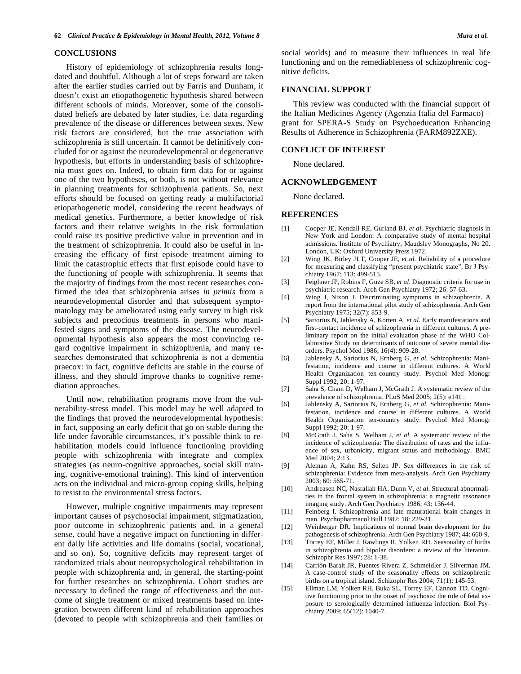# **CONCLUSIONS**

History of epidemiology of schizophrenia results longdated and doubtful. Although a lot of steps forward are taken after the earlier studies carried out by Farris and Dunham, it doesn't exist an etiopathogenetic hypothesis shared between different schools of minds. Moreover, some of the consolidated beliefs are debated by later studies, i.e. data regarding prevalence of the disease or differences between sexes. New risk factors are considered, but the true association with schizophrenia is still uncertain. It cannot be definitively concluded for or against the neurodevelopmental or degenerative hypothesis, but efforts in understanding basis of schizophrenia must goes on. Indeed, to obtain firm data for or against one of the two hypotheses, or both, is not without relevance in planning treatments for schizophrenia patients. So, next efforts should be focused on getting ready a multifactorial etiopathogenetic model, considering the recent headways of medical genetics. Furthermore, a better knowledge of risk factors and their relative weights in the risk formulation could raise its positive predictive value in prevention and in the treatment of schizophrenia. It could also be useful in increasing the efficacy of first episode treatment aiming to limit the catastrophic effects that first episode could have to the functioning of people with schizophrenia. It seems that the majority of findings from the most recent researches confirmed the idea that schizophrenia arises *in primis* from a neurodevelopmental disorder and that subsequent symptomatology may be ameliorated using early survey in high risk subjects and precocious treatments in persons who manifested signs and symptoms of the disease. The neurodevelopmental hypothesis also appears the most convincing regard cognitive impairment in schizophrenia, and many researches demonstrated that schizophrenia is not a dementia praecox: in fact, cognitive deficits are stable in the course of illness, and they should improve thanks to cognitive remediation approaches.

Until now, rehabilitation programs move from the vulnerability-stress model. This model may be well adapted to the findings that proved the neurodevelopmental hypothesis: in fact, supposing an early deficit that go on stable during the life under favorable circumstances, it's possible think to rehabilitation models could influence functioning providing people with schizophrenia with integrate and complex strategies (as neuro-cognitive approaches, social skill training, cognitive-emotional training). This kind of intervention acts on the individual and micro-group coping skills, helping to resist to the environmental stress factors.

However, multiple cognitive impairments may represent important causes of psychosocial impairment, stigmatization, poor outcome in schizophrenic patients and, in a general sense, could have a negative impact on functioning in different daily life activities and life domains (social, vocational, and so on). So, cognitive deficits may represent target of randomized trials about neuropsychological rehabilitation in people with schizophrenia and, in general, the starting-point for further researches on schizophrenia. Cohort studies are necessary to defined the range of effectiveness and the outcome of single treatment or mixed treatments based on integration between different kind of rehabilitation approaches (devoted to people with schizophrenia and their families or

social worlds) and to measure their influences in real life functioning and on the remediableness of schizophrenic cognitive deficits.

# **FINANCIAL SUPPORT**

This review was conducted with the financial support of the Italian Medicines Agency (Agenzia Italia del Farmaco) – grant for SPERA-S Study on Psychoeducation Enhancing Results of Adherence in Schizophrenia (FARM892ZXE).

### **CONFLICT OF INTEREST**

None declared.

# **ACKNOWLEDGEMENT**

None declared.

### **REFERENCES**

- [1] Cooper JE, Kendall RE, Gurland BJ, *et al*. Psychiatric diagnosis in New York and London: A comparative study of mental hospital admissions. Institute of Psychiatry, Maudsley Monographs, No 20. London, UK: Oxford University Press 1972.
- [2] Wing JK, Birley JLT, Cooper JE, *et al*. Reliability of a procedure for measuring and classifying "present psychiatric state". Br J Psychiatry 1967; 113: 499-515.
- [3] Feighner JP, Robins F, Guze SB, *et al*. Diagnostic criteria for use in psychiatric research. Arch Gen Psychiatry 1972; 26: 57-63.
- [4] Wing J, Nixon J. Discriminating symptoms in schizophrenia. A report from the international pilot study of schizophrenia. Arch Gen Psychiatry 1975; 32(7): 853-9.
- [5] Sartorius N, Jablensky A, Korten A, *et al*. Early manifestations and first-contact incidence of schizophrenia in different cultures. A preliminary report on the initial evaluation phase of the WHO Collaborative Study on determinants of outcome of severe mental disorders. Psychol Med 1986; 16(4): 909-28.
- [6] Jablensky A, Sartorius N, Ernberg G, *et al.* Schizophrenia: Manifestation, incidence and course in different cultures. A World Health Organization ten-country study. Psychol Med Monogr Suppl 1992; 20: 1-97.
- [7] Saha S, Chant D, Welham J, McGrath J. A systematic review of the prevalence of schizophrenia. PLoS Med 2005; 2(5): e141 .
- [6] Jablensky A, Sartorius N, Ernberg G, *et al*. Schizophrenia: Manifestation, incidence and course in different cultures. A World Health Organization ten-country study. Psychol Med Monogr Suppl 1992; 20: 1-97.
- [8] McGrath J, Saha S, Welham J, *et al*. A systematic review of the incidence of schizophrenia: The distribution of rates and the influence of sex, urbanicity, migrant status and methodology. BMC Med 2004; 2:13.
- [9] Aleman A, Kahn RS, Selten JP. Sex differences in the risk of schizophrenia: Evidence from meta-analysis. Arch Gen Psychiatry 2003; 60: 565-71.
- [10] Andreasen NC, Nasrallah HA, Dunn V, *et al*. Structural abnormalities in the frontal system in schizophrenia: a magnetic resonance imaging study. Arch Gen Psychiatry 1986; 43: 136-44.
- [11] Feinberg I. Schizophrenia and late maturational brain changes in man. Psychopharmacol Bull 1982; 18: 229-31.
- [12] Weinberger DR. Implications of normal brain development for the pathogenesis of schizophrenia. Arch Gen Psychiatry 1987; 44: 660-9.
- [13] Torrey EF, Miller J, Rawlings R, Yolken RH. Seasonality of births in schizophrenia and bipolar disorders: a review of the literature. Schizophr Res 1997; 28: 1-38.
- [14] Carriòn-Baralt JR, Fuentes-Rivera Z, Schmeidler J, Silverman JM. A case-control study of the seasonality effects on schizophrenic births on a tropical island. Schizophr Res 2004; 71(1): 145-53.
- [15] Ellman LM, Yolken RH, Buka SL, Torrey EF, Cannon TD. Cognitive functioning prior to the onset of psychosis: the role of fetal exposure to serologically determined influenza infection. Biol Psychiatry 2009; 65(12): 1040-7.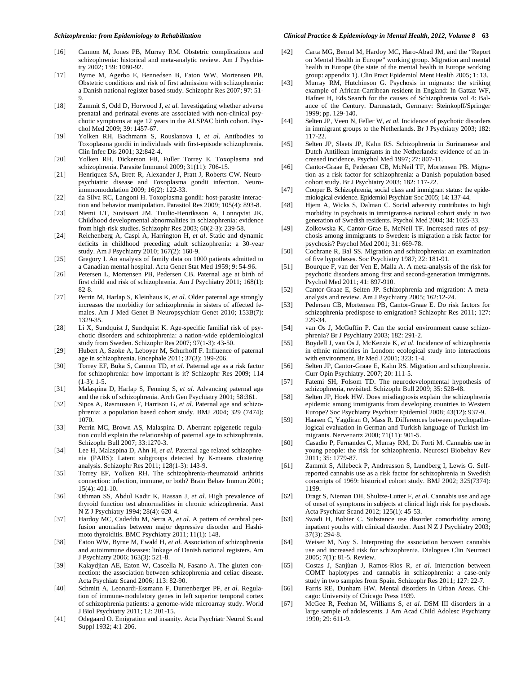#### *Schizophrenia: from Epidemiology to Rehabilitation Clinical Practice & Epidemiology in Mental Health, 2012, Volume 8* **63**

- [16] Cannon M, Jones PB, Murray RM. Obstetric complications and schizophrenia: historical and meta-analytic review. Am J Psychiatry 2002; 159: 1080-92.
- [17] Byrne M, Agerbo E, Bennedsen B, Eaton WW, Mortensen PB. Obstetric conditions and risk of first admission with schizophrenia: a Danish national register based study. Schizophr Res 2007; 97: 51- 9.
- [18] Zammit S, Odd D, Horwood J, *et al.* Investigating whether adverse prenatal and perinatal events are associated with non-clinical psychotic symptoms at age 12 years in the ALSPAC birth cohort. Psychol Med 2009; 39: 1457-67.
- [19] Yolken RH, Bachmann S, Rouslanova I, *et al*. Antibodies to Toxoplasma gondii in individuals with first-episode schizophrenia. Clin Infec Dis 2001; 32:842-4.
- [20] Yolken RH, Dickerson FB, Fuller Torrey E. Toxoplasma and schizophrenia. Parasite Immunol 2009; 31(11): 706-15.
- [21] Henriquez SA, Brett R, Alexander J, Pratt J, Roberts CW. Neuropsychiatric disease and Toxoplasma gondii infection. Neuroimmnomodulation 2009; 16(2): 122-33.
- [22] da Silva RC, Langoni H. Toxoplasma gondii: host-parasite interaction and behavior manipulation. Parasitol Res 2009; 105(4): 893-8.
- [23] Niemi LT, Suvisaari JM, Tuulio-Henriksson A, Lonnqvist JK. Childhood developmental abnormalities in schizophrenia: evidence from high-risk studies. Schizophr Res 2003; 60(2-3): 239-58.
- [24] Reichenberg A, Caspi A, Harrington H, *et al*. Static and dynamic deficits in childhood preceding adult schizophrenia: a 30-year study. Am J Psychiatry 2010; 167(2): 160-9.
- [25] Gregory I. An analysis of family data on 1000 patients admitted to a Canadian mental hospital. Acta Genet Stat Med 1959; 9: 54-96.
- [26] Petersen L, Mortensen PB, Pedersen CB. Paternal age at birth of first child and risk of schizophrenia. Am J Psychiatry 2011; 168(1): 82-8.
- [27] Perrin M, Harlap S, Kleinhaus K, *et al*. Older paternal age strongly increases the morbidity for schizophrenia in sisters of affected females. Am J Med Genet B Neuropsychiatr Genet 2010; 153B(7): 1329-35.
- [28] Li X, Sundquist J, Sundquist K. Age-specific familial risk of psychotic disorders and schizophrenia: a nation-wide epidemiological study from Sweden. Schizophr Res 2007; 97(1-3): 43-50.
- [29] Hubert A, Szoke A, Leboyer M, Schurhoff F. Influence of paternal age in schizophrenia. Encephale 2011; 37(3): 199-206.
- [30] Torrey EF, Buka S, Cannon TD, et al. Paternal age as a risk factor for schizophrenia: how important is it? Schizophr Res 2009; 114  $(1-3): 1-5.$
- [31] Malaspina D, Harlap S, Fenning S, *et al*. Advancing paternal age and the risk of schizophrenia. Arch Gen Psychiatry 2001; 58:361.
- [32] Sipos A, Rasmussen F, Harrison G, *et al*. Paternal age and schizophrenia: a population based cohort study. BMJ 2004; 329 (7474): 1070.
- [33] Perrin MC, Brown AS, Malaspina D. Aberrant epigenetic regulation could explain the relationship of paternal age to schizophrenia. Schizophr Bull 2007; 33:1270-3.
- [34] Lee H, Malaspina D, Ahn H, *et al*. Paternal age related schizophrenia (PARS): Latent subgroups detected by K-means clustering analysis. Schizophr Res 2011; 128(1-3): 143-9.
- [35] Torrey EF, Yolken RH. The schizophrenia-rheumatoid arthritis connection: infection, immune, or both? Brain Behav Immun 2001; 15(4): 401-10.
- [36] Othman SS, Abdul Kadir K, Hassan J, *et al*. High prevalence of thyroid function test abnormalities in chronic schizophrenia. Aust N Z J Psychiatry 1994; 28(4): 620-4.
- [37] Hardoy MC, Cadeddu M, Serra A, *et al*. A pattern of cerebral perfusion anomalies between major depressive disorder and Hashimoto thyroiditis. BMC Psychiatry 2011; 11(1): 148.
- [38] Eaton WW, Byrne M, Ewald H, *et al*. Association of schizophrenia and autoimmune diseases: linkage of Danish national registers. Am J Psychiatry 2006; 163(3): 521-8.
- [39] Kalaydjian AE, Eaton W, Cascella N, Fasano A. The gluten connection: the association between schizophrenia and celiac disease. Acta Psychiatr Scand 2006; 113: 82-90.
- [40] Schmitt A, Leonardi-Essmann F, Durrenberger PF, *et al*. Regulation of immune-modulatory genes in left superior temporal cortex of schizophrenia patients: a genome-wide microarray study. World J Biol Psychiatry 2011; 12: 201-15.
- [41] Odegaard O. Emigration and insanity. Acta Psychiatr Neurol Scand Suppl 1932; 4:1-206.
- [42] Carta MG, Bernal M, Hardoy MC, Haro-Abad JM, and the "Report on Mental Health in Europe" working group. Migration and mental health in Europe (the state of the mental health in Europe working group: appendix 1). Clin Pract Epidemiol Ment Health 2005; 1: 13.
- [43] Murray RM, Hutchinson G. Psychosis in migrants: the striking example of African-Carribean resident in England: In Gattaz WF, Hafner H, Eds.Search for the causes of Schizophrenia vol 4: Balance of the Century. Darmastadt, Germany: Steinkopff/Springer 1999; pp. 129-140.
- [44] Selten JP, Veen N, Feller W, *et al*. Incidence of psychotic disorders in immigrant groups to the Netherlands. Br J Psychiatry 2003; 182: 117-22.
- [45] Selten JP, Slaets JP, Kahn RS. Schizophrenia in Surinamese and Dutch Antillean immigrants in the Netherlands: evidence of an increased incidence. Psychol Med 1997; 27: 807-11.
- [46] Cantor-Graae E, Pedersen CB, McNeil TF, Mortensen PB. Migration as a risk factor for schizophrenia: a Danish population-based cohort study. Br J Psychiatry 2003; 182: 117-22.
- [47] Cooper B. Schizophrenia, social class and immigrant status: the epidemiological evidence. Epidemiol Psychiatr Soc 2005; 14: 137-44.
- [48] Hjern A, Wicks S, Dalman C. Social adversity contributes to high morbidity in psychosis in immigrants-a national cohort study in two generation of Swedish residents. Psychol Med 2004; 34: 1025-33.
- [49] Zolkowska K, Cantor-Grae E, McNeil TF. Increased rates of psychosis among immigrants to Sweden: is migration a risk factor for psychosis? Psychol Med 2001; 31: 669-78.
- [50] Cochrane R, Bal SS. Migration and schizophrenia: an examination of five hypotheses. Soc Psychiatry 1987; 22: 181-91.
- [51] Bourque F, van der Ven E, Malla A. A meta-analysis of the risk for psychotic disorders among first and second-generation immigrants. Psychol Med 2011; 41: 897-910.
- [52] Cantor-Graae E, Selten JP. Schizophrenia and migration: A metaanalysis and review. Am J Psychiatry 2005; 162:12-24.
- [53] Pedersen CB, Mortensen PB, Cantor-Graae E. Do risk factors for schizophrenia predispose to emigration? Schizophr Res 2011; 127: 229-34.
- [54] van Os J, McGuffin P. Can the social environment cause schizophrenia? Br J Psychiatry 2003; 182: 291-2.
- [55] Boydell J, van Os J, McKenzie K, *et al*. Incidence of schizophrenia in ethnic minorities in London: ecological study into interactions with environment. Br Med J 2001; 323: 1-4.
- [56] Selten JP, Cantor-Graae E, Kahn RS. Migration and schizophrenia. Curr Opin Psychiatry. 2007; 20: 111-5.
- [57] Fatemi SH, Folsom TD. The neurodevelopmental hypothesis of schizophrenia, revisited. Schizophr Bull 2009; 35: 528-48.
- [58] Selten JP, Hoek HW. Does misdiagnosis explain the schizophrenia epidemic among immigrants from developing countries to Western Europe? Soc Psychiatry Psychiatr Epidemiol 2008; 43(12): 937-9.
- [59] Haasen C, Yagdiran O, Mass R. Differences between psychopathological evaluation in German and Turkish language of Turkish immigrants. Nervenartz 2000; 71(11): 901-5.
- [60] Casadio P, Fernandes C, Murray RM, Di Forti M. Cannabis use in young people: the risk for schizophrenia. Neurosci Biobehav Rev 2011; 35: 1779-87.
- [61] Zammit S, Allebeck P, Andreasson S, Lundberg I, Lewis G. Selfreported cannabis use as a risk factor for schizophrenia in Swedish conscripts of 1969: historical cohort study. BMJ 2002; 325(7374): 1199.
- [62] Dragt S, Nieman DH, Shultze-Lutter F, *et al*. Cannabis use and age of onset of symptoms in subjects at clinical high risk for psychosis. Acta Psychiatr Scand 2012; 125(1): 45-53.
- [63] Swadi H, Bobier C. Substance use disorder comorbidity among inpatient youths with clinical disorder. Aust N Z J Psychiatry 2003; 37(3): 294-8.
- [64] Weiser M, Noy S. Interpreting the association between cannabis use and increased risk for schizophrenia. Dialogues Clin Neurosci 2005; 7(1): 81-5. Review.
- [65] Costas J, Sanjùan J, Ramos-Rìos R, *et al*. Interaction between COMT haplotypes and cannabis in schizophrenia: a case-only study in two samples from Spain. Schizophr Res 2011; 127: 22-7.
- [66] Farris RE, Dunham HW. Mental disorders in Urban Areas. Chicago: University of Chicago Press 1939.
- [67] McGee R, Feehan M, Williams S, *et al*. DSM III disorders in a large sample of adolescents. J Am Acad Child Adolesc Psychiatry 1990; 29: 611-9.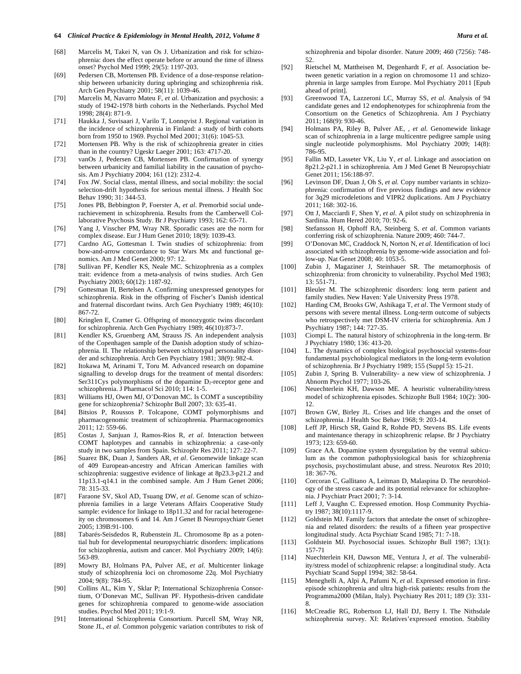#### **64** *Clinical Practice & Epidemiology in Mental Health, 2012, Volume 8* Mura et al.

- [68] Marcelis M, Takei N, van Os J. Urbanization and risk for schizophrenia: does the effect operate before or around the time of illness onset? Psychol Med 1999; 29(5): 1197-203.
- [69] Pedersen CB, Mortensen PB. Evidence of a dose-response relationship between urbanicity during upbringing and schizophrenia risk. Arch Gen Psychiatry 2001; 58(11): 1039-46.
- [70] Marcelis M, Navarro Mateu F, *et al*. Urbanization and psychosis: a study of 1942-1978 birth cohorts in the Netherlands. Psychol Med 1998; 28(4): 871-9.
- [71] Haukka J, Suvisaari J, Varilo T, Lonnqvist J. Regional variation in the incidence of schizophrenia in Finland: a study of birth cohorts born from 1950 to 1969. Psychol Med 2001; 31(6): 1045-53.
- [72] Mortensen PB. Why is the risk of schizophrenia greater in cities than in the country? Ugeskr Laeger 2001; 163: 4717-20.
- [73] vanOs J, Pedersen CB, Mortensen PB. Confirmation of synergy between urbanicity and familial liability in the causation of psychosis. Am J Psychiatry 2004; 161 (12): 2312-4.
- [74] Fox JW. Social class, mental illness, and social mobility: the social selection-drift hypothesis for serious mental illness. J Health Soc Behav 1990; 31: 344-53.
- [75] Jones PB, Bebbington P, Foerster A, *et al*. Premorbid social underachievement in schizophrenia. Results from the Camberwell Collaborative Psychosis Study. Br J Psychiatry 1993; 162: 65-71.
- [76] Yang J, Visscher PM, Wray NR. Sporadic cases are the norm for complex disease. Eur J Hum Genet 2010; 18(9): 1039-43.
- [77] Cardno AG, Gottesman I. Twin studies of schizophrenia: from bow-and-arrow concordance to Star Wars Mx and functional genomics. Am J Med Genet 2000; 97: 12.
- [78] Sullivan PF, Kendler KS, Neale MC. Schizophrenia as a complex trait: evidence from a meta-analysis of twins studies. Arch Gen Psychiatry 2003; 60(12): 1187-92.
- [79] Gottesman II, Bertelsen A. Confirming unexpressed genotypes for schizophrenia. Risk in the offspring of Fischer's Danish identical and fraternal discordant twins. Arch Gen Psychiatry 1989; 46(10): 867-72.
- [80] Kringlen E, Cramer G. Offspring of monozygotic twins discordant for schizophrenia. Arch Gen Psychiatry 1989; 46(10):873-7.
- [81] Kendler KS, Gruenberg AM, Strauss JS. An independent analysis of the Copenhagen sample of the Danish adoption study of schizophrenia. II. The relationship between schizotypal personality disorder and schizophrenia. Arch Gen Psychiatry 1981; 38(9): 982-4.
- [82] Itokawa M, Arinami T, Toru M. Advanced research on dopamine signalling to develop drugs for the treatment of mental disorders: Ser311Cys polymorphisms of the dopamine  $D_2$ -receptor gene and schizophrenia. J Pharmacol Sci 2010; 114: 1-5.
- [83] Williams HJ, Owen MJ, O'Donovan MC. Is COMT a susceptibility gene for schizophrenia? Schizophr Bull 2007; 33: 635-41.
- [84] Bitsios P, Roussos P. Tolcapone, COMT polymorphisms and pharmacogenomic treatment of schizophrenia. Pharmacogenomics 2011; 12: 559-66.
- [85] Costas J, Sanjuan J, Ramos-Rios R, *et al*. Interaction between COMT haplotypes and cannabis in schizophrenia: a case-only study in two samples from Spain. Schizophr Res 2011; 127: 22-7.
- [86] Suarez BK, Duan J, Sanders AR, *et al*. Genomewide linkage scan of 409 European-ancestry and African American families with schizophrenia: suggestive evidence of linkage at 8p23.3-p21.2 and 11p13.1-q14.1 in the combined sample. Am J Hum Genet 2006; 78: 315-33.
- [87] Faraone SV, Skol AD, Tsuang DW, *et al*. Genome scan of schizophrenia families in a large Veterans Affairs Cooperative Study sample: evidence for linkage to 18p11.32 and for racial heterogeneity on chromosomes 6 and 14. Am J Genet B Neuropsychiatr Genet 2005; 139B:91-100.
- [88] Tabarés-Seisdedos R, Rubenstein JL. Chromosome 8p as a potential hub for developmental neuropsychiatric disorders: implications for schizophrenia, autism and cancer. Mol Psychiatry 2009; 14(6): 563-89.
- [89] Mowry BJ, Holmans PA, Pulver AE, *et al*. Multicenter linkage study of schizophrenia loci on chromosome 22q. Mol Psychiatry 2004; 9(8): 784-95.
- [90] Collins AL, Kim Y, Sklar P; International Schizophrenia Consortium, O'Donevan MC, Sullivan PF. Hypothesis-driven candidate genes for schizophrenia compared to genome-wide association studies. Psychol Med 2011; 19:1-9.
- [91] International Schizophrenia Consortium. Purcell SM, Wray NR, Stone JL, *et al*. Common polygenic variation contributes to risk of

schizophrenia and bipolar disorder. Nature 2009; 460 (7256): 748- 52.

- [92] Rietschel M, Mattheisen M, Degenhardt F, *et al*. Association between genetic variation in a region on chromosome 11 and schizophrenia in large samples from Europe. Mol Psychiatry 2011 [Epub ahead of print].
- [93] Greenwood TA, Lazzeroni LC, Murray SS, *et al*. Analysis of 94 candidate genes and 12 endophenotypes for schizophrenia from the Consortium on the Genetics of Schizophrenia. Am J Psychiatry 2011; 168(9): 930-46.
- [94] Holmans PA, Riley B, Pulver AE, , *et al*. Genomewide linkage scan of schizophrenia in a large multicentre pedigree sample using single nucleotide polymorphisms. Mol Psychiatry 2009; 14(8): 786-95.
- [95] Fallin MD, Lasseter VK, Liu Y, *et al*. Linkage and association on 8p21.2-p21.1 in schizophrenia. Am J Med Genet B Neuropsychiatr Genet 2011; 156:188-97.
- [96] Levinson DF, Duan J, Oh S, *et al.* Copy number variants in schizophrenia: confirmation of five previous findings and new evidence for 3q29 microdeletions and VIPR2 duplications. Am J Psychiatry 2011; 168: 302-16.
- [97] Ott J, Macciardi F, Shen Y, *et al*. A pilot study on schizophrenia in Sardinia. Hum Hered 2010; 70: 92-6.
- [98] Stefansson H, Ophoff RA, Steinberg S, *et al*. Common variants conferring risk of schizophrenia. Nature 2009; 460: 744-7.
- [99] O'Donovan MC, Craddock N, Norton N, *et al*. Identification of loci associated with schizophrenia by genome-wide association and follow-up. Nat Genet 2008; 40: 1053-5.
- [100] Zubin J, Magaziner J, Steinhauer SR. The metamorphosis of schizophrenia: from chronicity to vulnerability. Psychol Med 1983; 13: 551-71.
- [101] Bleuler M. The schizophrenic disorders: long term patient and family studies. New Haven: Yale University Press 1978.
- [102] Harding CM, Brooks GW, Ashikaga T, *et al*. The Vermont study of persons with severe mental illness. Long-term outcome of subjects who retrospectively met DSM-IV criteria for schizophrenia. Am J Psychiatry 1987; 144: 727-35.
- [103] Ciompi L. The natural history of schizophrenia in the long-term. Br J Psychiatry 1980; 136: 413-20.
- [104] L. The dynamics of complex biological psychosocial systems-four fundamental psychobiological mediators in the long-term evolution of schizophrenia. Br J Psychiatry 1989; 155 (Suppl 5): 15-21.
- [105] Zubin J, Spring B. Vulnerability- a new view of schizophrenia. J Abnorm Psychol 1977; 103-26.
- [106] Neuechterlein KH, Dawson ME. A heuristic vulnerability/stress model of schizophrenia episodes. Schizophr Bull 1984; 10(2): 300- 12.
- [107] Brown GW, Birley JL. Crises and life changes and the onset of schizophrenia. J Health Soc Behav 1968; 9: 203-14.
- [108] Leff JP, Hirsch SR, Gaind R, Rohde PD, Stevens BS. Life events and maintenance therapy in schizophrenic relapse. Br J Psychiatry 1973; 123: 659-60.
- [109] Grace AA. Dopamine system dysregulation by the ventral subiculum as the common pathophysiological basis for schizophrenia psychosis, psychostimulant abuse, and stress. Neurotox Res 2010; 18: 367-76.
- [110] Corcoran C, Gallitano A, Leitman D, Malaspina D. The neurobiology of the stress cascade and its potential relevance for schizophrenia. J Psychiatr Pract 2001; 7: 3-14.
- [111] Leff J, Vaughn C. Expressed emotion. Hosp Community Psychiatry 1987; 38(10):1117-9.
- [112] Goldstein MJ. Family factors that antedate the onset of schizophrenia and related disorders: the results of a fifteen year prospective longitudinal study. Acta Psychiatr Scand 1985; 71: 7-18.
- [113] Goldstein MJ. Psychosocial issues. Schizophr Bull 1987; 13(1): 157-71
- [114] Nuechterlein KH, Dawson ME, Ventura J, *et al*. The vulnerability/stress model of schizophrenic relapse: a longitudinal study. Acta Psychiatr Scand Suppl 1994; 382: 58-64.
- [115] Meneghelli A, Alpi A, Pafumi N, *et al*. Expressed emotion in firstepisode schizophrenia and ultra high-risk patients: results from the Programma2000 (Milan, Italy). Psychiatry Res 2011; 189 (3): 331- 8.
- [116] McCreadie RG, Robertson LJ, Hall DJ, Berry I. The Nithsdale schizophrenia survey. XI: Relatives'expressed emotion. Stability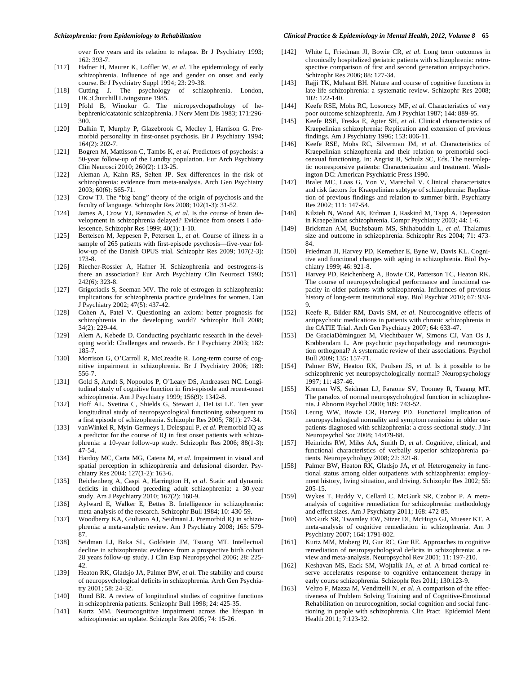#### *Schizophrenia: from Epidemiology to Rehabilitation Clinical Practice & Epidemiology in Mental Health, 2012, Volume 8* **65**

over five years and its relation to relapse. Br J Psychiatry 1993; 162: 393-7.

- [117] Hafner H, Maurer K, Loffler W, *et al*. The epidemiology of early schizophrenia. Influence of age and gender on onset and early course. Br J Psychiatry Suppl 1994; 23: 29-38.
- [118] Cutting J. The psychology of schizophrenia. London, UK.:Churchill Livingstone 1985.
- [119] Pfohl B, Winokur G. The micropsychopathology of hebephrenic/catatonic schizophrenia. J Nerv Ment Dis 1983; 171:296- 300.
- [120] Dalkin T, Murphy P, Glazebrook C, Medley I, Harrison G. Premorbid personality in first-onset psychosis. Br J Psychiatry 1994; 164(2): 202-7.
- [121] Bogren M, Mattisson C, Tambs K, *et al*. Predictors of psychosis: a 50-year follow-up of the Lundby population. Eur Arch Psychiatry Clin Neurosci 2010; 260(2): 113-25.
- [122] Aleman A, Kahn RS, Selten JP. Sex differences in the risk of schizophrenia: evidence from meta-analysis. Arch Gen Psychiatry 2003; 60(6): 565-71.
- [123] Crow TJ. The "big bang" theory of the origin of psychosis and the faculty of language. Schizophr Res 2008; 102(1-3): 31-52.
- [124] James A, Crow YJ, Renowden S, *et al*. Is the course of brain development in schizophrenia delayed? Evidence from onsets I adolescence. Schizophr Res 1999; 40(1): 1-10.
- [125] Bertelsen M, Jeppesen P, Petersen L, *et al*. Course of illness in a sample of 265 patients with first-episode psychosis—five-year follow-up of the Danish OPUS trial. Schizophr Res 2009; 107(2-3): 173-8.
- [126] Riecher-Rossler A, Hafner H. Schizophrenia and oestrogens-is there an association? Eur Arch Psychiatry Clin Neurosci 1993; 242(6): 323-8.
- [127] Grigoriadis S, Seeman MV. The role of estrogen in schizophrenia: implications for schizophrenia practice guidelines for women. Can J Psychiatry 2002; 47(5): 437-42.
- [128] Cohen A, Patel V. Questioning an axiom: better prognosis for schizophrenia in the developing world? Schizophr Bull 2008; 34(2): 229-44.
- [129] Alem A, Kebede D. Conducting psychiatric research in the developing world: Challenges and rewards. Br J Psychiatry 2003; 182: 185-7.
- [130] Morrison G, O'Carroll R, McCreadie R. Long-term course of cognitive impairment in schizophrenia. Br J Psychiatry 2006; 189: 556-7.
- [131] Gold S, Arndt S, Nopoulos P, O'Leary DS, Andreasen NC. Longitudinal study of cognitive function in first-episode and recent-onset schizophrenia. Am J Psychiatry 1999; 156(9): 1342-8.
- [132] Hoff AL, Svetina C, Shields G, Stewart J, DeLisi LE. Ten year longitudinal study of neuropsycological functioning subsequent to a first episode of schizophrenia. Schizophr Res 2005; 78(1): 27-34.
- [133] vanWinkel R, Myin-Germeys I, Delespaul P, *et al*. Premorbid IQ as a predictor for the course of IQ in first onset patients with schizophrenia: a 10-year follow-up study. Schizophr Res 2006; 88(1-3): 47-54.
- [134] Hardoy MC, Carta MG, Catena M, *et al*. Impairment in visual and spatial perception in schizophrenia and delusional disorder. Psychiatry Res 2004; 127(1-2): 163-6.
- [135] Reichenberg A, Caspi A, Harrington H, *et al*. Static and dynamic deficits in childhood preceding adult schizophrenia: a 30-year study. Am J Psychiatry 2010; 167(2): 160-9.
- [136] Aylward E, Walker E, Bettes B. Intelligence in schizophrenia: meta-analysis of the research. Schizophr Bull 1984; 10: 430-59.
- [137] Woodberry KA, Giuliano AJ, SeidmanLJ. Premorbid IQ in schizophrenia: a meta-analytic review. Am J Psychiatry 2008; 165: 579- 87.
- [138] Seidman LJ, Buka SL, Goldstein JM, Tsuang MT. Intellectual decline in schizophrenia: evidence from a prospective birth cohort 28 years follow-up study. J Clin Exp Neuropsychol 2006; 28: 225- 42.
- [139] Heaton RK, Gladsjo JA, Palmer BW, *et al*. The stability and course of neuropsychological deficits in schizophrenia. Arch Gen Psychiatry 2001; 58: 24-32.
- [140] Rund BR. A review of longitudinal studies of cognitive functions in schizophrenia patients. Schizophr Bull 1998; 24: 425-35.
- [141] Kurtz MM. Neurocognitive impairment across the lifespan in schizophrenia: an update. Schizophr Res 2005; 74: 15-26.
- [142] White L, Friedman JI, Bowie CR, *et al*. Long term outcomes in chronically hospitalized geriatric patients with schizophrenia: retrospective comparison of first and second generation antipsychotics. Schizophr Res 2006; 88: 127-34.
- [143] Rajji TK, Mulsant BH. Nature and course of cognitive functions in late-life schizophrenia: a systematic review. Schizophr Res 2008; 102: 122-140.
- [144] Keefe RSE, Mohs RC, Losonczy MF, *et al*. Characteristics of very poor outcome schizophrenia. Am J Psychiat 1987; 144: 889-95.
- [145] Keefe RSE, Freska E, Apter SH, *et al*. Clinical characteristics of Kraepelinian schizophrenia: Replication and extension of previous findings. Am J Psychiatry 1996; 153: 806-11.
- [146] Keefe RSE, Mohs RC, Silverman JM, *et al*. Characteristics of Kraepelinian schizophrenia and their relation to premorbid sociosexual functioning. In: Angrist B, Schulz SC, Eds. The neuroleptic nonresponsive patients: Characterization and treatment. Washington DC: American Psychiatric Press 1990.
- [147] Bralet MC, Loas G, Yon V, Marechal V. Clinical characteristics and risk factors for Kraepelinian subtype of schizophrenia: Replication of previous findings and relation to summer birth. Psychiatry Res 2002; 111: 147-54.
- [148] Kilzieh N, Wood AE, Erdman J, Raskind M, Tapp A. Depression in Kraepelinian schizophrenia. Compr Psychiatry 2003; 44: 1-6.
- [149] Brickman AM, Buchsbaum MS, Shihabuddin L, *et al*. Thalamus size and outcome in schizophrenia. Schizophr Res 2004; 71: 473- 84.
- [150] Friedman JI, Harvey PD, Kemether E, Byne W, Davis KL. Cognitive and functional changes with aging in schizophrenia. Biol Psychiatry 1999; 46: 921-8.
- [151] Harvey PD, Reichenberg A, Bowie CR, Patterson TC, Heaton RK. The course of neuropsychological performance and functional capacity in older patients with schizophrenia. Influences of previous history of long-term institutional stay. Biol Psychiat 2010; 67: 933- 9.
- [152] Keefe R, Bilder RM, Davis SM, *et al*. Neurocognitive effects of antipsychotic medications in patients with chronic schizophrenia in the CATIE Trial. Arch Gen Psychiatry 2007; 64: 633-47.
- [153] De GraciaDòminguez M, Viechtbauer W, Simons CJ, Van Os J, Krabbendam L. Are psychotic psychopathology and neurocognition orthogonal? A systematic review of their associations. Psychol Bull 2009; 135: 157-71.
- [154] Palmer BW, Heaton RK, Paulsen JS, *et al*. Is it possible to be schizophrenic yet neuropsychologically normal? Neuropsychology 1997; 11: 437-46.
- [155] Kremen WS, Seidman LJ, Faraone SV, Toomey R, Tsuang MT. The paradox of normal neuropsychological function in schizophrenia. J Abnorm Psychol 2000; 109: 743-52.
- [156] Leung WW, Bowie CR, Harvey PD. Functional implication of neuropsychological normality and symptom remission in older outpatients diagnosed with schizophrenia: a cross-sectional study. J Int Neuropsychol Soc 2008; 14:479-88.
- [157] Heinrichs RW, Miles AA, Smith D, *et al*. Cognitive, clinical, and functional characteristics of verbally superior schizophrenia patients. Neuropsychology 2008; 22: 321-8.
- [158] Palmer BW, Heaton RK, Gladsjo JA, *et al*. Heterogeneity in functional status among older outpatients with schizophrenia: employment history, living situation, and driving. Schizophr Res 2002; 55: 205-15.
- [159] Wykes T, Huddy V, Cellard C, McGurk SR, Czobor P. A metaanalysis of cognitive remediation for schizophrenia: methodology and effect sizes. Am J Psychiatry 2011; 168: 472-85.
- [160] McGurk SR, Twamley EW, Sitzer DI, McHugo GJ, Mueser KT. A meta-analysis of cognitive remediation in schizophrenia. Am J Psychiatry 2007; 164: 1791-802.
- [161] Kurtz MM, Moberg PJ, Gur RC, Gur RE. Approaches to cognitive remediation of neuropsychological deficits in schizophrenia: a review and meta-analysis. Neuropsychol Rev 2001; 11: 197-210.
- [162] Keshavan MS, Eack SM, Wojtalik JA, *et al*. A broad cortical reserve accelerates response to cognitive enhancement therapy in early course schizophrenia. Schizophr Res 2011; 130:123-9.
- [163] Veltro F, Mazza M, Vendittelli N, *et al*. A comparison of the effectiveness of Problem Solving Training and of Cognitive-Emotional Rehabilitation on neurocognition, social cognition and social functioning in people with schizophrenia. Clin Pract Epidemiol Ment Health 2011; 7:123-32.